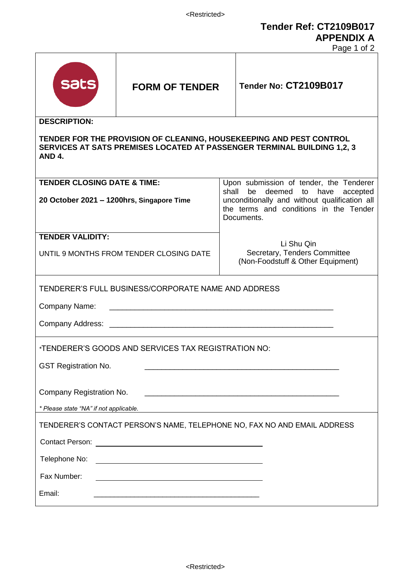**Tender Ref: CT2109B017 APPENDIX A**

Page 1 of 2

|                                                                                                                                                                                                                                                                                |                       |                                                                                | Page 1 OI 2                                                                                           |  |
|--------------------------------------------------------------------------------------------------------------------------------------------------------------------------------------------------------------------------------------------------------------------------------|-----------------------|--------------------------------------------------------------------------------|-------------------------------------------------------------------------------------------------------|--|
| <b>Sats</b>                                                                                                                                                                                                                                                                    | <b>FORM OF TENDER</b> |                                                                                | Tender No: CT2109B017                                                                                 |  |
| <b>DESCRIPTION:</b>                                                                                                                                                                                                                                                            |                       |                                                                                |                                                                                                       |  |
| TENDER FOR THE PROVISION OF CLEANING, HOUSEKEEPING AND PEST CONTROL<br><b>SERVICES AT SATS PREMISES LOCATED AT PASSENGER TERMINAL BUILDING 1,2, 3</b><br>AND 4.                                                                                                                |                       |                                                                                |                                                                                                       |  |
| <b>TENDER CLOSING DATE &amp; TIME:</b>                                                                                                                                                                                                                                         |                       | Upon submission of tender, the Tenderer<br>shall be deemed to have<br>accepted |                                                                                                       |  |
| 20 October 2021 - 1200hrs, Singapore Time                                                                                                                                                                                                                                      |                       |                                                                                | unconditionally and without qualification all<br>the terms and conditions in the Tender<br>Documents. |  |
| <b>TENDER VALIDITY:</b>                                                                                                                                                                                                                                                        |                       |                                                                                | Li Shu Qin                                                                                            |  |
| UNTIL 9 MONTHS FROM TENDER CLOSING DATE                                                                                                                                                                                                                                        |                       |                                                                                | Secretary, Tenders Committee<br>(Non-Foodstuff & Other Equipment)                                     |  |
| TENDERER'S FULL BUSINESS/CORPORATE NAME AND ADDRESS                                                                                                                                                                                                                            |                       |                                                                                |                                                                                                       |  |
| Company Name:                                                                                                                                                                                                                                                                  |                       |                                                                                |                                                                                                       |  |
|                                                                                                                                                                                                                                                                                |                       |                                                                                |                                                                                                       |  |
| *TENDERER'S GOODS AND SERVICES TAX REGISTRATION NO:                                                                                                                                                                                                                            |                       |                                                                                |                                                                                                       |  |
| <b>GST Registration No.</b>                                                                                                                                                                                                                                                    |                       |                                                                                |                                                                                                       |  |
| Company Registration No.                                                                                                                                                                                                                                                       |                       |                                                                                |                                                                                                       |  |
| * Please state "NA" if not applicable.<br><u>and the control of the control of the control of the control of the control of the control of the control of the control of the control of the control of the control of the control of the control of the control of the con</u> |                       |                                                                                |                                                                                                       |  |
| TENDERER'S CONTACT PERSON'S NAME, TELEPHONE NO, FAX NO AND EMAIL ADDRESS                                                                                                                                                                                                       |                       |                                                                                |                                                                                                       |  |
|                                                                                                                                                                                                                                                                                |                       |                                                                                |                                                                                                       |  |
| Telephone No:<br><u> 1989 - Johann Barn, mars ann an t-Amhain Aonaich an t-Aonaich an t-Aonaich an t-Aonaich an t-Aonaich ann an t-</u>                                                                                                                                        |                       |                                                                                |                                                                                                       |  |
| Fax Number:                                                                                                                                                                                                                                                                    |                       |                                                                                |                                                                                                       |  |
| Email:                                                                                                                                                                                                                                                                         |                       |                                                                                |                                                                                                       |  |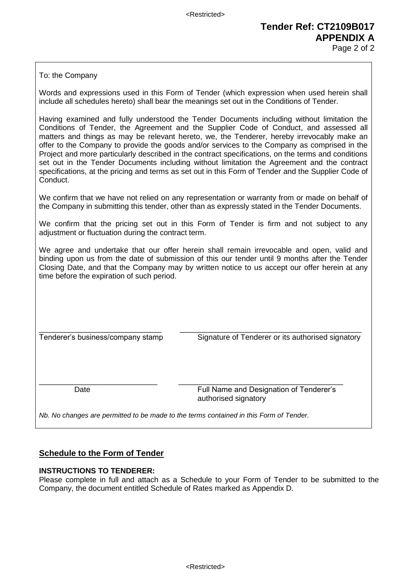# **Tender Ref: CT2109B017 APPENDIX A**

Page 2 of 2

To: the Company

Words and expressions used in this Form of Tender (which expression when used herein shall include all schedules hereto) shall bear the meanings set out in the Conditions of Tender.

Having examined and fully understood the Tender Documents including without limitation the Conditions of Tender, the Agreement and the Supplier Code of Conduct, and assessed all matters and things as may be relevant hereto, we, the Tenderer, hereby irrevocably make an offer to the Company to provide the goods and/or services to the Company as comprised in the Project and more particularly described in the contract specifications, on the terms and conditions set out in the Tender Documents including without limitation the Agreement and the contract specifications, at the pricing and terms as set out in this Form of Tender and the Supplier Code of Conduct.

We confirm that we have not relied on any representation or warranty from or made on behalf of the Company in submitting this tender, other than as expressly stated in the Tender Documents.

We confirm that the pricing set out in this Form of Tender is firm and not subject to any adjustment or fluctuation during the contract term.

We agree and undertake that our offer herein shall remain irrevocable and open, valid and binding upon us from the date of submission of this our tender until 9 months after the Tender Closing Date, and that the Company may by written notice to us accept our offer herein at any time before the expiration of such period.

\_\_\_\_\_\_\_\_\_\_\_\_\_\_\_\_\_\_\_\_\_\_\_\_\_\_\_\_\_ \_\_\_\_\_\_\_\_\_\_\_\_\_\_\_\_\_\_\_\_\_\_\_\_\_\_\_\_\_\_\_\_\_\_\_\_\_\_\_\_\_\_\_ Tenderer's business/company stamp Signature of Tenderer or its authorised signatory

\_\_\_\_\_\_\_\_\_\_\_\_\_\_\_\_\_\_\_\_\_\_\_\_\_\_\_\_ \_\_\_\_\_\_\_\_\_\_\_\_\_\_\_\_\_\_\_\_\_\_\_\_\_\_\_\_\_\_\_\_\_\_\_\_\_\_\_ Date Full Name and Designation of Tenderer's authorised signatory

*Nb. No changes are permitted to be made to the terms contained in this Form of Tender.*

#### **Schedule to the Form of Tender**

#### **INSTRUCTIONS TO TENDERER:**

Please complete in full and attach as a Schedule to your Form of Tender to be submitted to the Company, the document entitled Schedule of Rates marked as Appendix D.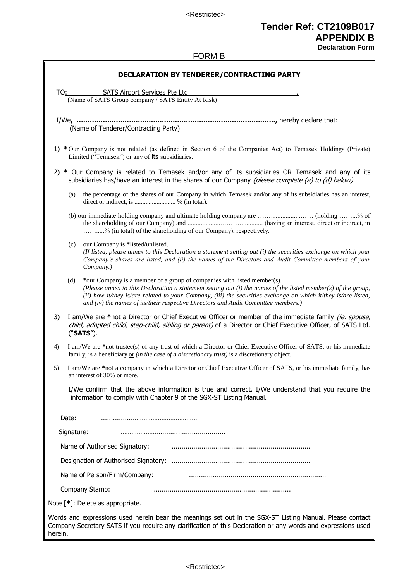<Restricted>

## **Tender Ref: CT2109B017 APPENDIX B**

**Declaration Form**

#### FORM B

| DECLARATION BY TENDERER/CONTRACTING PARTY                                                                                                                                                                                                                                                                                                                                                                 |  |  |  |
|-----------------------------------------------------------------------------------------------------------------------------------------------------------------------------------------------------------------------------------------------------------------------------------------------------------------------------------------------------------------------------------------------------------|--|--|--|
|                                                                                                                                                                                                                                                                                                                                                                                                           |  |  |  |
| TO: SATS Airport Services Pte Ltd<br>(Name of SATS Group company / SATS Entity At Risk)                                                                                                                                                                                                                                                                                                                   |  |  |  |
|                                                                                                                                                                                                                                                                                                                                                                                                           |  |  |  |
| (Name of Tenderer/Contracting Party)                                                                                                                                                                                                                                                                                                                                                                      |  |  |  |
| 1) * Our Company is not related (as defined in Section 6 of the Companies Act) to Temasek Holdings (Private)<br>Limited ("Temasek") or any of its subsidiaries.                                                                                                                                                                                                                                           |  |  |  |
| 2) * Our Company is related to Temasek and/or any of its subsidiaries OR Temasek and any of its<br>subsidiaries has/have an interest in the shares of our Company (please complete (a) to (d) below):                                                                                                                                                                                                     |  |  |  |
| the percentage of the shares of our Company in which Temasek and/or any of its subsidiaries has an interest,<br>(a)<br>direct or indirect, is  % (in total).                                                                                                                                                                                                                                              |  |  |  |
| (b) our immediate holding company and ultimate holding company are  (holding % of<br>% (in total) of the shareholding of our Company), respectively.                                                                                                                                                                                                                                                      |  |  |  |
| our Company is *listed/unlisted.<br>(c)<br>(If listed, please annex to this Declaration a statement setting out (i) the securities exchange on which your<br>Company's shares are listed, and (ii) the names of the Directors and Audit Committee members of your<br>Company.)                                                                                                                            |  |  |  |
| (d)<br>*our Company is a member of a group of companies with listed member(s).<br>(Please annex to this Declaration a statement setting out $(i)$ the names of the listed member(s) of the group,<br>(ii) how it/they is/are related to your Company, (iii) the securities exchange on which it/they is/are listed,<br>and (iv) the names of its/their respective Directors and Audit Committee members.) |  |  |  |
| I am/We are *not a Director or Chief Executive Officer or member of the immediate family <i>(ie. spouse,</i><br>3)<br>child, adopted child, step-child, sibling or parent) of a Director or Chief Executive Officer, of SATS Ltd.<br>("SATS").                                                                                                                                                            |  |  |  |
| I am/We are *not trustee(s) of any trust of which a Director or Chief Executive Officer of SATS, or his immediate<br>4)<br>family, is a beneficiary $or$ (in the case of a discretionary trust) is a discretionary object.                                                                                                                                                                                |  |  |  |
| I am/We are *not a company in which a Director or Chief Executive Officer of SATS, or his immediate family, has<br>5)<br>an interest of 30% or more.                                                                                                                                                                                                                                                      |  |  |  |
| I/We confirm that the above information is true and correct. I/We understand that you require the<br>information to comply with Chapter 9 of the SGX-ST Listing Manual.                                                                                                                                                                                                                                   |  |  |  |
| Date:                                                                                                                                                                                                                                                                                                                                                                                                     |  |  |  |
| Signature:                                                                                                                                                                                                                                                                                                                                                                                                |  |  |  |
| Name of Authorised Signatory:                                                                                                                                                                                                                                                                                                                                                                             |  |  |  |
|                                                                                                                                                                                                                                                                                                                                                                                                           |  |  |  |
|                                                                                                                                                                                                                                                                                                                                                                                                           |  |  |  |
| Name of Person/Firm/Company:                                                                                                                                                                                                                                                                                                                                                                              |  |  |  |
| Company Stamp:                                                                                                                                                                                                                                                                                                                                                                                            |  |  |  |
| Note [*]: Delete as appropriate.                                                                                                                                                                                                                                                                                                                                                                          |  |  |  |
| Words and expressions used herein bear the meanings set out in the SGX-ST Listing Manual. Please contact<br>Company Secretary SATS if you require any clarification of this Declaration or any words and expressions used<br>herein.                                                                                                                                                                      |  |  |  |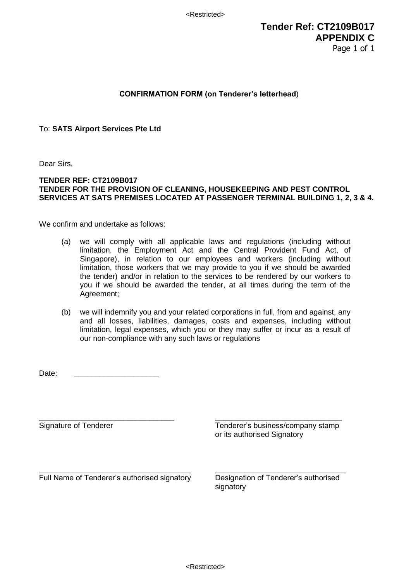<Restricted>

### **Tender Ref: CT2109B017 APPENDIX C** Page 1 of 1

#### **CONFIRMATION FORM (on Tenderer's letterhead**)

To: **SATS Airport Services Pte Ltd**

Dear Sirs,

#### **TENDER REF: CT2109B017 TENDER FOR THE PROVISION OF CLEANING, HOUSEKEEPING AND PEST CONTROL SERVICES AT SATS PREMISES LOCATED AT PASSENGER TERMINAL BUILDING 1, 2, 3 & 4.**

We confirm and undertake as follows:

- (a) we will comply with all applicable laws and regulations (including without limitation, the Employment Act and the Central Provident Fund Act, of Singapore), in relation to our employees and workers (including without limitation, those workers that we may provide to you if we should be awarded the tender) and/or in relation to the services to be rendered by our workers to you if we should be awarded the tender, at all times during the term of the Agreement;
- (b) we will indemnify you and your related corporations in full, from and against, any and all losses, liabilities, damages, costs and expenses, including without limitation, legal expenses, which you or they may suffer or incur as a result of our non-compliance with any such laws or regulations

Date:

\_\_\_\_\_\_\_\_\_\_\_\_\_\_\_\_\_\_\_\_\_\_\_\_\_\_\_\_\_\_\_\_ \_\_\_\_\_\_\_\_\_\_\_\_\_\_\_\_\_\_\_\_\_\_\_\_\_\_\_\_\_\_ Signature of Tenderer Tenderer's business/company stamp or its authorised Signatory

Full Name of Tenderer's authorised signatory Designation of Tenderer's authorised

signatory

\_\_\_\_\_\_\_\_\_\_\_\_\_\_\_\_\_\_\_\_\_\_\_\_\_\_\_\_\_\_\_\_\_\_\_\_ \_\_\_\_\_\_\_\_\_\_\_\_\_\_\_\_\_\_\_\_\_\_\_\_\_\_\_\_\_\_\_